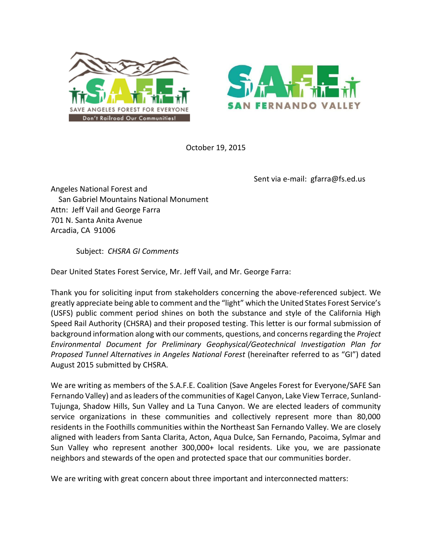



October 19, 2015

Sent via e-mail: gfarra@fs.ed.us

Angeles National Forest and San Gabriel Mountains National Monument Attn: Jeff Vail and George Farra 701 N. Santa Anita Avenue Arcadia, CA 91006

Subject: *CHSRA GI Comments*

Dear United States Forest Service, Mr. Jeff Vail, and Mr. George Farra:

Thank you for soliciting input from stakeholders concerning the above-referenced subject. We greatly appreciate being able to comment and the "light" which the United States Forest Service's (USFS) public comment period shines on both the substance and style of the California High Speed Rail Authority (CHSRA) and their proposed testing. This letter is our formal submission of background information along with our comments, questions, and concerns regarding the *Project Environmental Document for Preliminary Geophysical/Geotechnical Investigation Plan for*  Proposed Tunnel Alternatives in Angeles National Forest (hereinafter referred to as "GI") dated August 2015 submitted by CHSRA.

We are writing as members of the S.A.F.E. Coalition (Save Angeles Forest for Everyone/SAFE San Fernando Valley) and as leaders of the communities of Kagel Canyon, Lake View Terrace, Sunland-Tujunga, Shadow Hills, Sun Valley and La Tuna Canyon. We are elected leaders of community service organizations in these communities and collectively represent more than 80,000 residents in the Foothills communities within the Northeast San Fernando Valley. We are closely aligned with leaders from Santa Clarita, Acton, Aqua Dulce, San Fernando, Pacoima, Sylmar and Sun Valley who represent another 300,000+ local residents. Like you, we are passionate neighbors and stewards of the open and protected space that our communities border.

We are writing with great concern about three important and interconnected matters: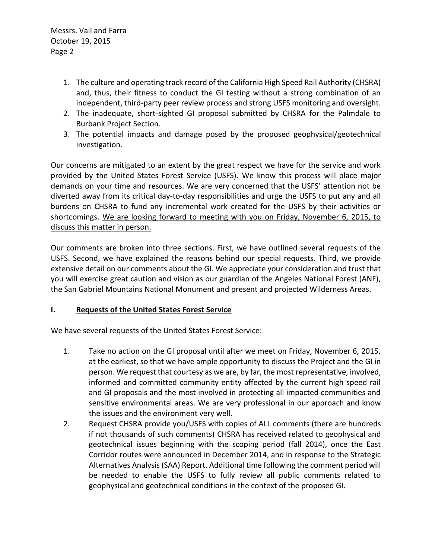- 1. The culture and operating track record of the California High Speed Rail Authority (CHSRA) and, thus, their fitness to conduct the GI testing without a strong combination of an independent, third-party peer review process and strong USFS monitoring and oversight.
- 2. The inadequate, short-sighted GI proposal submitted by CHSRA for the Palmdale to Burbank Project Section.
- 3. The potential impacts and damage posed by the proposed geophysical/geotechnical investigation.

Our concerns are mitigated to an extent by the great respect we have for the service and work provided by the United States Forest Service (USFS). We know this process will place major demands on your time and resources. We are very concerned that the USFS' attention not be diverted away from its critical day-to-day responsibilities and urge the USFS to put any and all burdens on CHSRA to fund any incremental work created for the USFS by their activities or shortcomings. We are looking forward to meeting with you on Friday, November 6, 2015, to discuss this matter in person.

Our comments are broken into three sections. First, we have outlined several requests of the USFS. Second, we have explained the reasons behind our special requests. Third, we provide extensive detail on our comments about the GI. We appreciate your consideration and trust that you will exercise great caution and vision as our guardian of the Angeles National Forest (ANF), the San Gabriel Mountains National Monument and present and projected Wilderness Areas.

#### **I. Requests of the United States Forest Service**

We have several requests of the United States Forest Service:

- 1. Take no action on the GI proposal until after we meet on Friday, November 6, 2015, at the earliest, so that we have ample opportunity to discuss the Project and the GI in person. We request that courtesy as we are, by far, the most representative, involved, informed and committed community entity affected by the current high speed rail and GI proposals and the most involved in protecting all impacted communities and sensitive environmental areas. We are very professional in our approach and know the issues and the environment very well.
- 2. Request CHSRA provide you/USFS with copies of ALL comments (there are hundreds if not thousands of such comments) CHSRA has received related to geophysical and geotechnical issues beginning with the scoping period (fall 2014), once the East Corridor routes were announced in December 2014, and in response to the Strategic Alternatives Analysis (SAA) Report. Additional time following the comment period will be needed to enable the USFS to fully review all public comments related to geophysical and geotechnical conditions in the context of the proposed GI.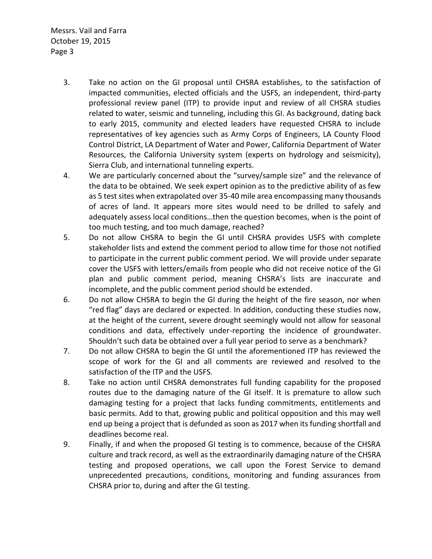- 3. Take no action on the GI proposal until CHSRA establishes, to the satisfaction of impacted communities, elected officials and the USFS, an independent, third-party professional review panel (ITP) to provide input and review of all CHSRA studies related to water, seismic and tunneling, including this GI. As background, dating back to early 2015, community and elected leaders have requested CHSRA to include representatives of key agencies such as Army Corps of Engineers, LA County Flood Control District, LA Department of Water and Power, California Department of Water Resources, the California University system (experts on hydrology and seismicity), Sierra Club, and international tunneling experts.
- 4. We are particularly concerned about the "survey/sample size" and the relevance of the data to be obtained. We seek expert opinion as to the predictive ability of as few as 5 test sites when extrapolated over 35-40 mile area encompassing many thousands of acres of land. It appears more sites would need to be drilled to safely and adequately assess local conditions...then the question becomes, when is the point of too much testing, and too much damage, reached?
- 5. Do not allow CHSRA to begin the GI until CHSRA provides USFS with complete stakeholder lists and extend the comment period to allow time for those not notified to participate in the current public comment period. We will provide under separate cover the USFS with letters/emails from people who did not receive notice of the GI plan and public comment period, meaning CHSRA's lists are inaccurate and incomplete, and the public comment period should be extended.
- 6. Do not allow CHSRA to begin the GI during the height of the fire season, nor when "red flag" days are declared or expected. In addition, conducting these studies now, at the height of the current, severe drought seemingly would not allow for seasonal conditions and data, effectively under-reporting the incidence of groundwater. Shouldn't such data be obtained over a full year period to serve as a benchmark?
- 7. Do not allow CHSRA to begin the GI until the aforementioned ITP has reviewed the scope of work for the GI and all comments are reviewed and resolved to the satisfaction of the ITP and the USFS.
- 8. Take no action until CHSRA demonstrates full funding capability for the proposed routes due to the damaging nature of the GI itself. It is premature to allow such damaging testing for a project that lacks funding commitments, entitlements and basic permits. Add to that, growing public and political opposition and this may well end up being a project that is defunded as soon as 2017 when its funding shortfall and deadlines become real.
- 9. Finally, if and when the proposed GI testing is to commence, because of the CHSRA culture and track record, as well as the extraordinarily damaging nature of the CHSRA testing and proposed operations, we call upon the Forest Service to demand unprecedented precautions, conditions, monitoring and funding assurances from CHSRA prior to, during and after the GI testing.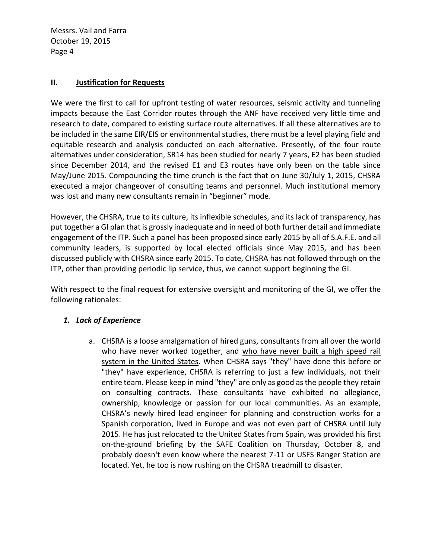#### **II. Justification for Requests**

We were the first to call for upfront testing of water resources, seismic activity and tunneling impacts because the East Corridor routes through the ANF have received very little time and research to date, compared to existing surface route alternatives. If all these alternatives are to be included in the same EIR/EIS or environmental studies, there must be a level playing field and equitable research and analysis conducted on each alternative. Presently, of the four route alternatives under consideration, SR14 has been studied for nearly 7 years, E2 has been studied since December 2014, and the revised E1 and E3 routes have only been on the table since May/June 2015. Compounding the time crunch is the fact that on June 30/July 1, 2015, CHSRA executed a major changeover of consulting teams and personnel. Much institutional memory was lost and many new consultants remain in "beginner" mode.

However, the CHSRA, true to its culture, its inflexible schedules, and its lack of transparency, has put together a GI plan that is grossly inadequate and in need of both further detail and immediate engagement of the ITP. Such a panel has been proposed since early 2015 by all of S.A.F.E. and all community leaders, is supported by local elected officials since May 2015, and has been discussed publicly with CHSRA since early 2015. To date, CHSRA has not followed through on the ITP, other than providing periodic lip service, thus, we cannot support beginning the GI.

With respect to the final request for extensive oversight and monitoring of the GI, we offer the following rationales:

#### *1. Lack of Experience*

a. CHSRA is a loose amalgamation of hired guns, consultants from all over the world who have never worked together, and who have never built a high speed rail system in the United States. When CHSRA says "they" have done this before or "they" have experience, CHSRA is referring to just a few individuals, not their entire team. Please keep in mind "they" are only as good as the people they retain on consulting contracts. These consultants have exhibited no allegiance, ownership, knowledge or passion for our local communities. As an example, CHSRA's newly hired lead engineer for planning and construction works for a Spanish corporation, lived in Europe and was not even part of CHSRA until July 2015. He has just relocated to the United States from Spain, was provided his first on-the-ground briefing by the SAFE Coalition on Thursday, October 8, and probably doesn't even know where the nearest 7-11 or USFS Ranger Station are located. Yet, he too is now rushing on the CHSRA treadmill to disaster.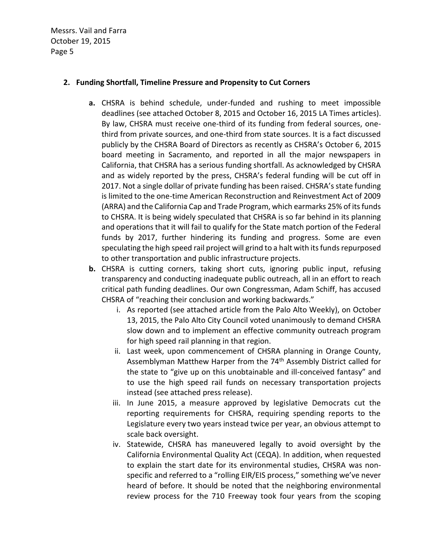#### **2. Funding Shortfall, Timeline Pressure and Propensity to Cut Corners**

- **a.** CHSRA is behind schedule, under-funded and rushing to meet impossible deadlines (see attached October 8, 2015 and October 16, 2015 LA Times articles). By law, CHSRA must receive one-third of its funding from federal sources, onethird from private sources, and one-third from state sources. It is a fact discussed publicly by the CHSRA Board of Directors as recently as CHSRA's October 6, 2015 board meeting in Sacramento, and reported in all the major newspapers in California, that CHSRA has a serious funding shortfall. As acknowledged by CHSRA and as widely reported by the press, CHSRA's federal funding will be cut off in 2017. Not a single dollar of private funding has been raised. CHSRA's state funding is limited to the one-time American Reconstruction and Reinvestment Act of 2009 (ARRA) and the California Cap and Trade Program, which earmarks 25% of its funds to CHSRA. It is being widely speculated that CHSRA is so far behind in its planning and operations that it will fail to qualify for the State match portion of the Federal funds by 2017, further hindering its funding and progress. Some are even speculating the high speed rail project will grind to a halt with its funds repurposed to other transportation and public infrastructure projects.
- **b.** CHSRA is cutting corners, taking short cuts, ignoring public input, refusing transparency and conducting inadequate public outreach, all in an effort to reach critical path funding deadlines. Our own Congressman, Adam Schiff, has accused CHSRA of "reaching their conclusion and working backwards."
	- i. As reported (see attached article from the Palo Alto Weekly), on October 13, 2015, the Palo Alto City Council voted unanimously to demand CHSRA slow down and to implement an effective community outreach program for high speed rail planning in that region.
	- ii. Last week, upon commencement of CHSRA planning in Orange County, Assemblyman Matthew Harper from the 74<sup>th</sup> Assembly District called for the state to "give up on this unobtainable and ill-conceived fantasy" and to use the high speed rail funds on necessary transportation projects instead (see attached press release).
	- iii. In June 2015, a measure approved by legislative Democrats cut the reporting requirements for CHSRA, requiring spending reports to the Legislature every two years instead twice per year, an obvious attempt to scale back oversight.
	- iv. Statewide, CHSRA has maneuvered legally to avoid oversight by the California Environmental Quality Act (CEQA). In addition, when requested to explain the start date for its environmental studies, CHSRA was nonspecific and referred to a "rolling EIR/EIS process," something we've never heard of before. It should be noted that the neighboring environmental review process for the 710 Freeway took four years from the scoping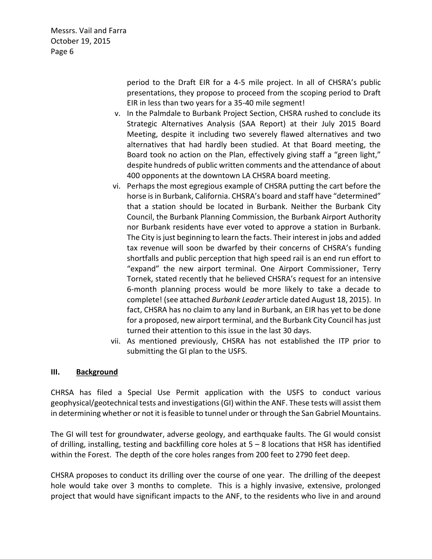> period to the Draft EIR for a 4-5 mile project. In all of CHSRA's public presentations, they propose to proceed from the scoping period to Draft EIR in less than two years for a 35-40 mile segment!

- v. In the Palmdale to Burbank Project Section, CHSRA rushed to conclude its Strategic Alternatives Analysis (SAA Report) at their July 2015 Board Meeting, despite it including two severely flawed alternatives and two alternatives that had hardly been studied. At that Board meeting, the Board took no action on the Plan, effectively giving staff a "green light," despite hundreds of public written comments and the attendance of about 400 opponents at the downtown LA CHSRA board meeting.
- vi. Perhaps the most egregious example of CHSRA putting the cart before the horse is in Burbank, California. CHSRA's board and staff have "determined" that a station should be located in Burbank. Neither the Burbank City Council, the Burbank Planning Commission, the Burbank Airport Authority nor Burbank residents have ever voted to approve a station in Burbank. The City is just beginning to learn the facts. Their interest in jobs and added tax revenue will soon be dwarfed by their concerns of CHSRA's funding shortfalls and public perception that high speed rail is an end run effort to "expand" the new airport terminal. One Airport Commissioner, Terry Tornek, stated recently that he believed CHSRA's request for an intensive 6-month planning process would be more likely to take a decade to complete! (see attached *Burbank Leader* article dated August 18, 2015). In fact, CHSRA has no claim to any land in Burbank, an EIR has yet to be done for a proposed, new airport terminal, and the Burbank City Council has just turned their attention to this issue in the last 30 days.
- vii. As mentioned previously, CHSRA has not established the ITP prior to submitting the GI plan to the USFS.

#### **III.** Background

CHRSA has filed a Special Use Permit application with the USFS to conduct various geophysical/geotechnical tests and investigations (GI) within the ANF. These tests will assist them in determining whether or not it is feasible to tunnel under or through the San Gabriel Mountains.

The GI will test for groundwater, adverse geology, and earthquake faults. The GI would consist of drilling, installing, testing and backfilling core holes at  $5 - 8$  locations that HSR has identified within the Forest. The depth of the core holes ranges from 200 feet to 2790 feet deep.

CHSRA proposes to conduct its drilling over the course of one year. The drilling of the deepest hole would take over 3 months to complete. This is a highly invasive, extensive, prolonged project that would have significant impacts to the ANF, to the residents who live in and around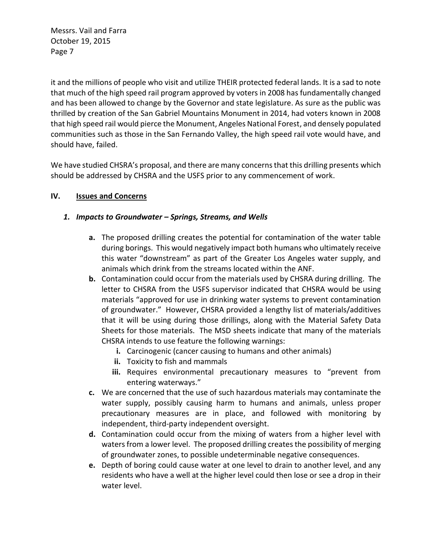it and the millions of people who visit and utilize THEIR protected federal lands. It is a sad to note that much of the high speed rail program approved by voters in 2008 has fundamentally changed and has been allowed to change by the Governor and state legislature. As sure as the public was thrilled by creation of the San Gabriel Mountains Monument in 2014, had voters known in 2008 that high speed rail would pierce the Monument, Angeles National Forest, and densely populated communities such as those in the San Fernando Valley, the high speed rail vote would have, and should have, failed.

We have studied CHSRA's proposal, and there are many concerns that this drilling presents which should be addressed by CHSRA and the USFS prior to any commencement of work.

#### **IV. Issues and Concerns**

#### *1. Impacts to Groundwater Springs, Streams, and Wells*

- **a.** The proposed drilling creates the potential for contamination of the water table during borings. This would negatively impact both humans who ultimately receive this water "downstream" as part of the Greater Los Angeles water supply, and animals which drink from the streams located within the ANF.
- **b.** Contamination could occur from the materials used by CHSRA during drilling. The letter to CHSRA from the USFS supervisor indicated that CHSRA would be using materials "approved for use in drinking water systems to prevent contamination of groundwater." However, CHSRA provided a lengthy list of materials/additives that it will be using during those drillings, along with the Material Safety Data Sheets for those materials. The MSD sheets indicate that many of the materials CHSRA intends to use feature the following warnings:
	- **i.** Carcinogenic (cancer causing to humans and other animals)
	- **ii.** Toxicity to fish and mammals
	- iii. Requires environmental precautionary measures to "prevent from entering waterways."
- **c.** We are concerned that the use of such hazardous materials may contaminate the water supply, possibly causing harm to humans and animals, unless proper precautionary measures are in place, and followed with monitoring by independent, third-party independent oversight.
- **d.** Contamination could occur from the mixing of waters from a higher level with waters from a lower level. The proposed drilling creates the possibility of merging of groundwater zones, to possible undeterminable negative consequences.
- **e.** Depth of boring could cause water at one level to drain to another level, and any residents who have a well at the higher level could then lose or see a drop in their water level.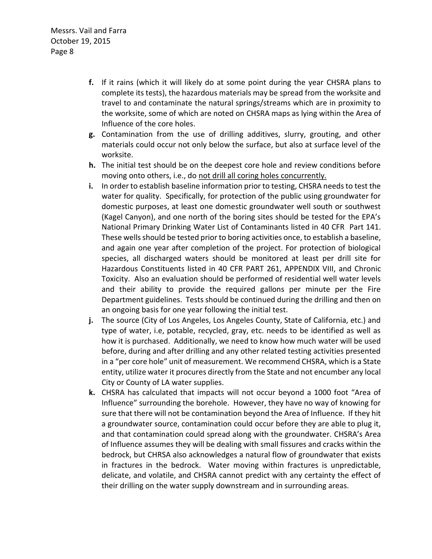- **f.** If it rains (which it will likely do at some point during the year CHSRA plans to complete its tests), the hazardous materials may be spread from the worksite and travel to and contaminate the natural springs/streams which are in proximity to the worksite, some of which are noted on CHSRA maps as lying within the Area of Influence of the core holes.
- **g.** Contamination from the use of drilling additives, slurry, grouting, and other materials could occur not only below the surface, but also at surface level of the worksite.
- **h.** The initial test should be on the deepest core hole and review conditions before moving onto others, i.e., do not drill all coring holes concurrently.
- **i.** In order to establish baseline information prior to testing, CHSRA needs to test the water for quality. Specifically, for protection of the public using groundwater for domestic purposes, at least one domestic groundwater well south or southwest (Kagel Canyon), and one north of the boring sites should be tested for the EPA's National Primary Drinking Water List of Contaminants listed in 40 CFR Part 141. These wells should be tested prior to boring activities once, to establish a baseline, and again one year after completion of the project. For protection of biological species, all discharged waters should be monitored at least per drill site for Hazardous Constituents listed in 40 CFR PART 261, APPENDIX VIII, and Chronic Toxicity. Also an evaluation should be performed of residential well water levels and their ability to provide the required gallons per minute per the Fire Department guidelines. Tests should be continued during the drilling and then on an ongoing basis for one year following the initial test.
- **j.** The source (City of Los Angeles, Los Angeles County, State of California, etc.) and type of water, i.e, potable, recycled, gray, etc. needs to be identified as well as how it is purchased. Additionally, we need to know how much water will be used before, during and after drilling and any other related testing activities presented in a "per core hole" unit of measurement. We recommend CHSRA, which is a State entity, utilize water it procures directly from the State and not encumber any local City or County of LA water supplies.
- k. CHSRA has calculated that impacts will not occur beyond a 1000 foot "Area of Influence" surrounding the borehole. However, they have no way of knowing for sure that there will not be contamination beyond the Area of Influence. If they hit a groundwater source, contamination could occur before they are able to plug it, and that contamination could spread along with the groundwater. CHSRA's Area of Influence assumes they will be dealing with small fissures and cracks within the bedrock, but CHRSA also acknowledges a natural flow of groundwater that exists in fractures in the bedrock. Water moving within fractures is unpredictable, delicate, and volatile, and CHSRA cannot predict with any certainty the effect of their drilling on the water supply downstream and in surrounding areas.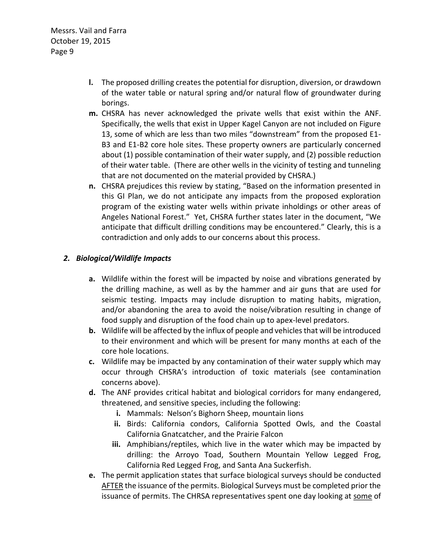- **l.** The proposed drilling creates the potential for disruption, diversion, or drawdown of the water table or natural spring and/or natural flow of groundwater during borings.
- **m.** CHSRA has never acknowledged the private wells that exist within the ANF. Specifically, the wells that exist in Upper Kagel Canyon are not included on Figure 13, some of which are less than two miles "downstream" from the proposed E1-B3 and E1-B2 core hole sites. These property owners are particularly concerned about (1) possible contamination of their water supply, and (2) possible reduction of their water table. (There are other wells in the vicinity of testing and tunneling that are not documented on the material provided by CHSRA.)
- **n.** CHSRA prejudices this review by stating, "Based on the information presented in this GI Plan, we do not anticipate any impacts from the proposed exploration program of the existing water wells within private inholdings or other areas of Angeles National Forest." Yet, CHSRA further states later in the document, "We anticipate that difficult drilling conditions may be encountered." Clearly, this is a contradiction and only adds to our concerns about this process.

#### *2. Biological/Wildlife Impacts*

- **a.** Wildlife within the forest will be impacted by noise and vibrations generated by the drilling machine, as well as by the hammer and air guns that are used for seismic testing. Impacts may include disruption to mating habits, migration, and/or abandoning the area to avoid the noise/vibration resulting in change of food supply and disruption of the food chain up to apex-level predators.
- **b.** Wildlife will be affected by the influx of people and vehicles that will be introduced to their environment and which will be present for many months at each of the core hole locations.
- **c.** Wildlife may be impacted by any contamination of their water supply which may occur through CHSRA's introduction of toxic materials (see contamination concerns above).
- **d.** The ANF provides critical habitat and biological corridors for many endangered, threatened, and sensitive species, including the following:
	- **i.** Mammals: Nelson's Bighorn Sheep, mountain lions
	- **ii.** Birds: California condors, California Spotted Owls, and the Coastal California Gnatcatcher, and the Prairie Falcon
	- **iii.** Amphibians/reptiles, which live in the water which may be impacted by drilling: the Arroyo Toad, Southern Mountain Yellow Legged Frog, California Red Legged Frog, and Santa Ana Suckerfish.
- **e.** The permit application states that surface biological surveys should be conducted AFTER the issuance of the permits. Biological Surveys must be completed prior the issuance of permits. The CHRSA representatives spent one day looking at some of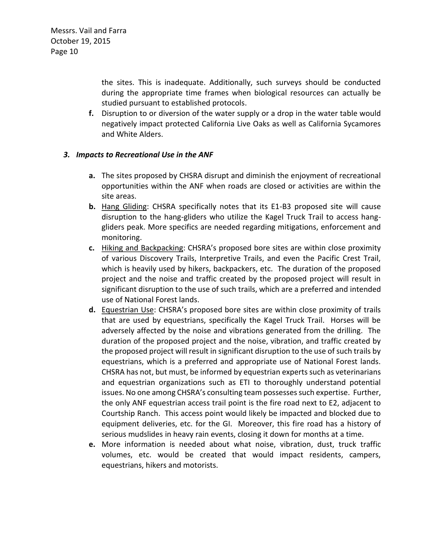the sites. This is inadequate. Additionally, such surveys should be conducted during the appropriate time frames when biological resources can actually be studied pursuant to established protocols.

**f.** Disruption to or diversion of the water supply or a drop in the water table would negatively impact protected California Live Oaks as well as California Sycamores and White Alders.

#### *3. Impacts to Recreational Use in the ANF*

- **a.** The sites proposed by CHSRA disrupt and diminish the enjoyment of recreational opportunities within the ANF when roads are closed or activities are within the site areas.
- **b.** Hang Gliding: CHSRA specifically notes that its E1-B3 proposed site will cause disruption to the hang-gliders who utilize the Kagel Truck Trail to access hanggliders peak. More specifics are needed regarding mitigations, enforcement and monitoring.
- c. Hiking and Backpacking: CHSRA's proposed bore sites are within close proximity of various Discovery Trails, Interpretive Trails, and even the Pacific Crest Trail, which is heavily used by hikers, backpackers, etc. The duration of the proposed project and the noise and traffic created by the proposed project will result in significant disruption to the use of such trails, which are a preferred and intended use of National Forest lands.
- **d.** Equestrian Use: CHSRA's proposed bore sites are within close proximity of trails that are used by equestrians, specifically the Kagel Truck Trail. Horses will be adversely affected by the noise and vibrations generated from the drilling. The duration of the proposed project and the noise, vibration, and traffic created by the proposed project will result in significant disruption to the use of such trails by equestrians, which is a preferred and appropriate use of National Forest lands. CHSRA has not, but must, be informed by equestrian experts such as veterinarians and equestrian organizations such as ETI to thoroughly understand potential issues. No one among CHSRA's consulting team possesses such expertise. Further, the only ANF equestrian access trail point is the fire road next to E2, adjacent to Courtship Ranch. This access point would likely be impacted and blocked due to equipment deliveries, etc. for the GI. Moreover, this fire road has a history of serious mudslides in heavy rain events, closing it down for months at a time.
- **e.** More information is needed about what noise, vibration, dust, truck traffic volumes, etc. would be created that would impact residents, campers, equestrians, hikers and motorists.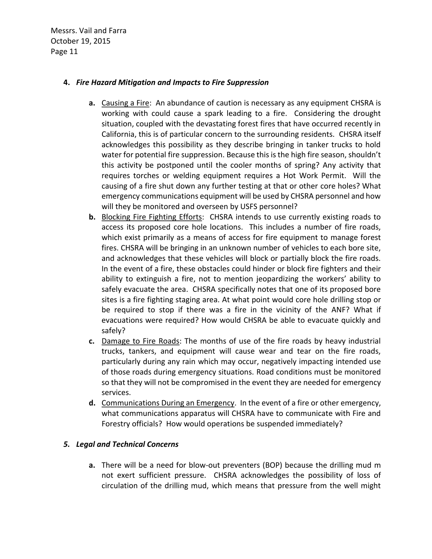#### **4.** *Fire Hazard Mitigation and Impacts to Fire Suppression*

- **a.** Causing a Fire: An abundance of caution is necessary as any equipment CHSRA is working with could cause a spark leading to a fire. Considering the drought situation, coupled with the devastating forest fires that have occurred recently in California, this is of particular concern to the surrounding residents. CHSRA itself acknowledges this possibility as they describe bringing in tanker trucks to hold water for potential fire suppression. Because this is the high fire season, shouldn't this activity be postponed until the cooler months of spring? Any activity that requires torches or welding equipment requires a Hot Work Permit. Will the causing of a fire shut down any further testing at that or other core holes? What emergency communications equipment will be used by CHSRA personnel and how will they be monitored and overseen by USFS personnel?
- **b.** Blocking Fire Fighting Efforts: CHSRA intends to use currently existing roads to access its proposed core hole locations. This includes a number of fire roads, which exist primarily as a means of access for fire equipment to manage forest fires. CHSRA will be bringing in an unknown number of vehicles to each bore site, and acknowledges that these vehicles will block or partially block the fire roads. In the event of a fire, these obstacles could hinder or block fire fighters and their ability to extinguish a fire, not to mention jeopardizing the workers' ability to safely evacuate the area. CHSRA specifically notes that one of its proposed bore sites is a fire fighting staging area. At what point would core hole drilling stop or be required to stop if there was a fire in the vicinity of the ANF? What if evacuations were required? How would CHSRA be able to evacuate quickly and safely?
- **c.** Damage to Fire Roads: The months of use of the fire roads by heavy industrial trucks, tankers, and equipment will cause wear and tear on the fire roads, particularly during any rain which may occur, negatively impacting intended use of those roads during emergency situations. Road conditions must be monitored so that they will not be compromised in the event they are needed for emergency services.
- **d.** Communications During an Emergency. In the event of a fire or other emergency, what communications apparatus will CHSRA have to communicate with Fire and Forestry officials? How would operations be suspended immediately?

#### *5. Legal and Technical Concerns*

**a.** There will be a need for blow-out preventers (BOP) because the drilling mud m not exert sufficient pressure. CHSRA acknowledges the possibility of loss of circulation of the drilling mud, which means that pressure from the well might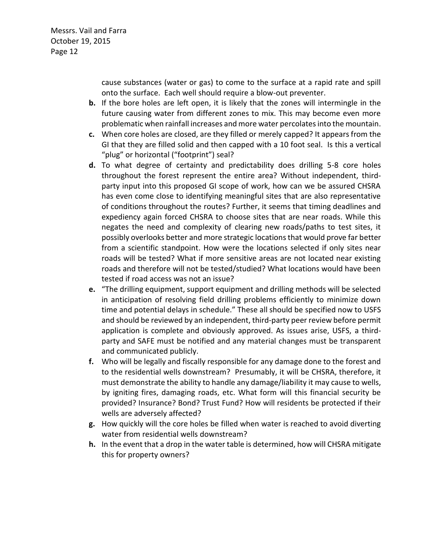> cause substances (water or gas) to come to the surface at a rapid rate and spill onto the surface. Each well should require a blow-out preventer.

- **b.** If the bore holes are left open, it is likely that the zones will intermingle in the future causing water from different zones to mix. This may become even more problematic when rainfall increases and more water percolates into the mountain.
- **c.** When core holes are closed, are they filled or merely capped? It appears from the GI that they are filled solid and then capped with a 10 foot seal. Is this a vertical "plug" or horizontal ("footprint") seal?
- **d.** To what degree of certainty and predictability does drilling 5-8 core holes throughout the forest represent the entire area? Without independent, thirdparty input into this proposed GI scope of work, how can we be assured CHSRA has even come close to identifying meaningful sites that are also representative of conditions throughout the routes? Further, it seems that timing deadlines and expediency again forced CHSRA to choose sites that are near roads. While this negates the need and complexity of clearing new roads/paths to test sites, it possibly overlooks better and more strategic locations that would prove far better from a scientific standpoint. How were the locations selected if only sites near roads will be tested? What if more sensitive areas are not located near existing roads and therefore will not be tested/studied? What locations would have been tested if road access was not an issue?
- **e.** "The drilling equipment, support equipment and drilling methods will be selected in anticipation of resolving field drilling problems efficiently to minimize down time and potential delays in schedule." These all should be specified now to USFS and should be reviewed by an independent, third-party peer review before permit application is complete and obviously approved. As issues arise, USFS, a thirdparty and SAFE must be notified and any material changes must be transparent and communicated publicly.
- **f.** Who will be legally and fiscally responsible for any damage done to the forest and to the residential wells downstream? Presumably, it will be CHSRA, therefore, it must demonstrate the ability to handle any damage/liability it may cause to wells, by igniting fires, damaging roads, etc. What form will this financial security be provided? Insurance? Bond? Trust Fund? How will residents be protected if their wells are adversely affected?
- **g.** How quickly will the core holes be filled when water is reached to avoid diverting water from residential wells downstream?
- **h.** In the event that a drop in the water table is determined, how will CHSRA mitigate this for property owners?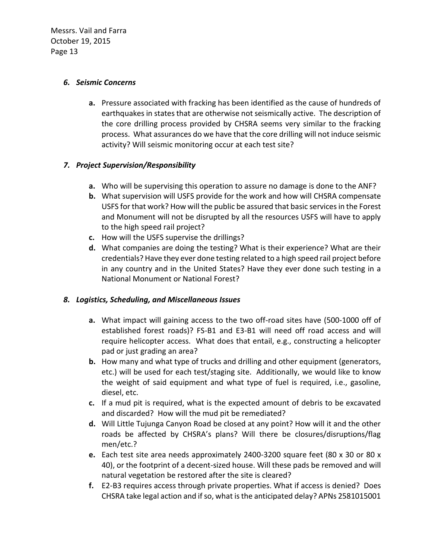#### *6. Seismic Concerns*

**a.** Pressure associated with fracking has been identified as the cause of hundreds of earthquakes in states that are otherwise not seismically active. The description of the core drilling process provided by CHSRA seems very similar to the fracking process. What assurances do we have that the core drilling will not induce seismic activity? Will seismic monitoring occur at each test site?

#### *7. Project Supervision/Responsibility*

- **a.** Who will be supervising this operation to assure no damage is done to the ANF?
- **b.** What supervision will USFS provide for the work and how will CHSRA compensate USFS for that work? How will the public be assured that basic services in the Forest and Monument will not be disrupted by all the resources USFS will have to apply to the high speed rail project?
- **c.** How will the USFS supervise the drillings?
- **d.** What companies are doing the testing? What is their experience? What are their credentials? Have they ever done testing related to a high speed rail project before in any country and in the United States? Have they ever done such testing in a National Monument or National Forest?

#### *8. Logistics, Scheduling, and Miscellaneous Issues*

- **a.** What impact will gaining access to the two off-road sites have (500-1000 off of established forest roads)? FS-B1 and E3-B1 will need off road access and will require helicopter access. What does that entail, e.g., constructing a helicopter pad or just grading an area?
- **b.** How many and what type of trucks and drilling and other equipment (generators, etc.) will be used for each test/staging site. Additionally, we would like to know the weight of said equipment and what type of fuel is required, i.e., gasoline, diesel, etc.
- **c.** If a mud pit is required, what is the expected amount of debris to be excavated and discarded? How will the mud pit be remediated?
- **d.** Will Little Tujunga Canyon Road be closed at any point? How will it and the other roads be affected by CHSRA's plans? Will there be closures/disruptions/flag men/etc.?
- **e.** Each test site area needs approximately 2400-3200 square feet (80 x 30 or 80 x 40), or the footprint of a decent-sized house. Will these pads be removed and will natural vegetation be restored after the site is cleared?
- **f.** E2-B3 requires access through private properties. What if access is denied? Does CHSRA take legal action and if so, what is the anticipated delay? APNs 2581015001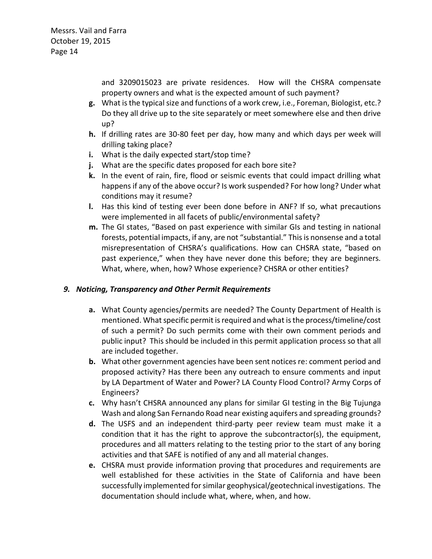and 3209015023 are private residences. How will the CHSRA compensate property owners and what is the expected amount of such payment?

- **g.** What is the typical size and functions of a work crew, i.e., Foreman, Biologist, etc.? Do they all drive up to the site separately or meet somewhere else and then drive up?
- **h.** If drilling rates are 30-80 feet per day, how many and which days per week will drilling taking place?
- **i.** What is the daily expected start/stop time?
- **j.** What are the specific dates proposed for each bore site?
- **k.** In the event of rain, fire, flood or seismic events that could impact drilling what happens if any of the above occur? Is work suspended? For how long? Under what conditions may it resume?
- **l.** Has this kind of testing ever been done before in ANF? If so, what precautions were implemented in all facets of public/environmental safety?
- m. The GI states, "Based on past experience with similar GIs and testing in national forests, potential impacts, if any, are not "substantial." This is nonsense and a total misrepresentation of CHSRA's qualifications. How can CHSRA state, "based on past experience," when they have never done this before; they are beginners. What, where, when, how? Whose experience? CHSRA or other entities?

#### *9. Noticing, Transparency and Other Permit Requirements*

- **a.** What County agencies/permits are needed? The County Department of Health is mentioned. What specific permit is required and what is the process/timeline/cost of such a permit? Do such permits come with their own comment periods and public input? This should be included in this permit application process so that all are included together.
- **b.** What other government agencies have been sent notices re: comment period and proposed activity? Has there been any outreach to ensure comments and input by LA Department of Water and Power? LA County Flood Control? Army Corps of Engineers?
- **c.** Why hasn't CHSRA announced any plans for similar GI testing in the Big Tujunga Wash and along San Fernando Road near existing aquifers and spreading grounds?
- **d.** The USFS and an independent third-party peer review team must make it a condition that it has the right to approve the subcontractor(s), the equipment, procedures and all matters relating to the testing prior to the start of any boring activities and that SAFE is notified of any and all material changes.
- **e.** CHSRA must provide information proving that procedures and requirements are well established for these activities in the State of California and have been successfully implemented for similar geophysical/geotechnical investigations. The documentation should include what, where, when, and how.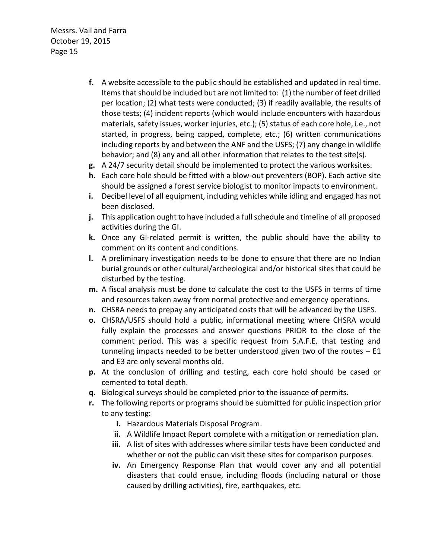- **f.** A website accessible to the public should be established and updated in real time. Items that should be included but are not limited to: (1) the number of feet drilled per location; (2) what tests were conducted; (3) if readily available, the results of those tests; (4) incident reports (which would include encounters with hazardous materials, safety issues, worker injuries, etc.); (5) status of each core hole, i.e., not started, in progress, being capped, complete, etc.; (6) written communications including reports by and between the ANF and the USFS; (7) any change in wildlife behavior; and (8) any and all other information that relates to the test site(s).
- **g.** A 24/7 security detail should be implemented to protect the various worksites.
- **h.** Each core hole should be fitted with a blow-out preventers (BOP). Each active site should be assigned a forest service biologist to monitor impacts to environment.
- **i.** Decibel level of all equipment, including vehicles while idling and engaged has not been disclosed.
- **j.** This application ought to have included a full schedule and timeline of all proposed activities during the GI.
- **k.** Once any GI-related permit is written, the public should have the ability to comment on its content and conditions.
- **l.** A preliminary investigation needs to be done to ensure that there are no Indian burial grounds or other cultural/archeological and/or historical sites that could be disturbed by the testing.
- **m.** A fiscal analysis must be done to calculate the cost to the USFS in terms of time and resources taken away from normal protective and emergency operations.
- **n.** CHSRA needs to prepay any anticipated costs that will be advanced by the USFS.
- **o.** CHSRA/USFS should hold a public, informational meeting where CHSRA would fully explain the processes and answer questions PRIOR to the close of the comment period. This was a specific request from S.A.F.E. that testing and tunneling impacts needed to be better understood given two of the routes  $- E1$ and E3 are only several months old.
- **p.** At the conclusion of drilling and testing, each core hold should be cased or cemented to total depth.
- **q.** Biological surveys should be completed prior to the issuance of permits.
- **r.** The following reports or programs should be submitted for public inspection prior to any testing:
	- **i.** Hazardous Materials Disposal Program.
	- **ii.** A Wildlife Impact Report complete with a mitigation or remediation plan.
	- **iii.** A list of sites with addresses where similar tests have been conducted and whether or not the public can visit these sites for comparison purposes.
	- **iv.** An Emergency Response Plan that would cover any and all potential disasters that could ensue, including floods (including natural or those caused by drilling activities), fire, earthquakes, etc.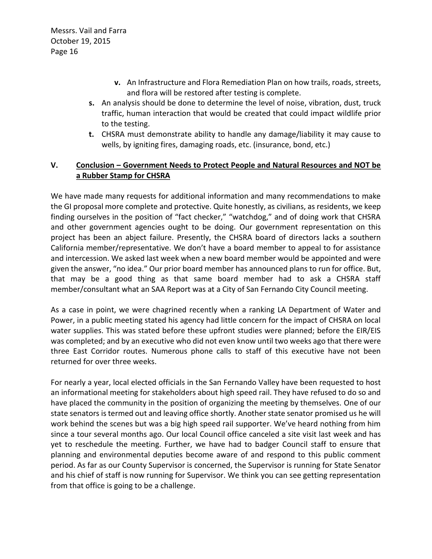- **v.** An Infrastructure and Flora Remediation Plan on how trails, roads, streets, and flora will be restored after testing is complete.
- **s.** An analysis should be done to determine the level of noise, vibration, dust, truck traffic, human interaction that would be created that could impact wildlife prior to the testing.
- **t.** CHSRA must demonstrate ability to handle any damage/liability it may cause to wells, by igniting fires, damaging roads, etc. (insurance, bond, etc.)

#### **V. Conclusion Government Needs to Protect People and Natural Resources and NOT be a Rubber Stamp for CHSRA**

We have made many requests for additional information and many recommendations to make the GI proposal more complete and protective. Quite honestly, as civilians, as residents, we keep finding ourselves in the position of "fact checker," "watchdog," and of doing work that CHSRA and other government agencies ought to be doing. Our government representation on this project has been an abject failure. Presently, the CHSRA board of directors lacks a southern California member/representative. We don't have a board member to appeal to for assistance and intercession. We asked last week when a new board member would be appointed and were given the answer, "no idea." Our prior board member has announced plans to run for office. But, that may be a good thing as that same board member had to ask a CHSRA staff member/consultant what an SAA Report was at a City of San Fernando City Council meeting.

As a case in point, we were chagrined recently when a ranking LA Department of Water and Power, in a public meeting stated his agency had little concern for the impact of CHSRA on local water supplies. This was stated before these upfront studies were planned; before the EIR/EIS was completed; and by an executive who did not even know until two weeks ago that there were three East Corridor routes. Numerous phone calls to staff of this executive have not been returned for over three weeks.

For nearly a year, local elected officials in the San Fernando Valley have been requested to host an informational meeting for stakeholders about high speed rail. They have refused to do so and have placed the community in the position of organizing the meeting by themselves. One of our state senators is termed out and leaving office shortly. Another state senator promised us he will work behind the scenes but was a big high speed rail supporter. We've heard nothing from him since a tour several months ago. Our local Council office canceled a site visit last week and has yet to reschedule the meeting. Further, we have had to badger Council staff to ensure that planning and environmental deputies become aware of and respond to this public comment period. As far as our County Supervisor is concerned, the Supervisor is running for State Senator and his chief of staff is now running for Supervisor. We think you can see getting representation from that office is going to be a challenge.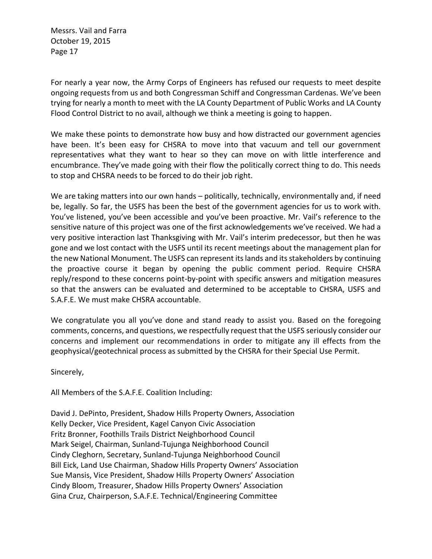For nearly a year now, the Army Corps of Engineers has refused our requests to meet despite ongoing requests from us and both Congressman Schiff and Congressman Cardenas. We've been trying for nearly a month to meet with the LA County Department of Public Works and LA County Flood Control District to no avail, although we think a meeting is going to happen.

We make these points to demonstrate how busy and how distracted our government agencies have been. It's been easy for CHSRA to move into that vacuum and tell our government representatives what they want to hear so they can move on with little interference and encumbrance. They've made going with their flow the politically correct thing to do. This needs to stop and CHSRA needs to be forced to do their job right.

We are taking matters into our own hands  $-$  politically, technically, environmentally and, if need be, legally. So far, the USFS has been the best of the government agencies for us to work with. You've listened, you've been accessible and you've been proactive. Mr. Vail's reference to the sensitive nature of this project was one of the first acknowledgements we've received. We had a very positive interaction last Thanksgiving with Mr. Vail's interim predecessor, but then he was gone and we lost contact with the USFS until its recent meetings about the management plan for the new National Monument. The USFS can represent its lands and its stakeholders by continuing the proactive course it began by opening the public comment period. Require CHSRA reply/respond to these concerns point-by-point with specific answers and mitigation measures so that the answers can be evaluated and determined to be acceptable to CHSRA, USFS and S.A.F.E. We must make CHSRA accountable.

We congratulate you all you've done and stand ready to assist you. Based on the foregoing comments, concerns, and questions, we respectfully request that the USFS seriously consider our concerns and implement our recommendations in order to mitigate any ill effects from the geophysical/geotechnical process as submitted by the CHSRA for their Special Use Permit.

Sincerely,

All Members of the S.A.F.E. Coalition Including:

David J. DePinto, President, Shadow Hills Property Owners, Association Kelly Decker, Vice President, Kagel Canyon Civic Association Fritz Bronner, Foothills Trails District Neighborhood Council Mark Seigel, Chairman, Sunland-Tujunga Neighborhood Council Cindy Cleghorn, Secretary, Sunland-Tujunga Neighborhood Council Bill Eick, Land Use Chairman, Shadow Hills Property Owners' Association Sue Mansis, Vice President, Shadow Hills Property Owners' Association Cindy Bloom, Treasurer, Shadow Hills Property Owners' Association Gina Cruz, Chairperson, S.A.F.E. Technical/Engineering Committee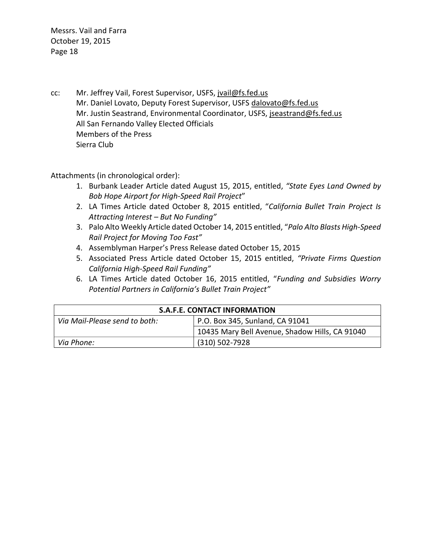cc: Mr. Jeffrey Vail, Forest Supervisor, USFS, [jvail@fs.fed.us](mailto:jvail@fs.fed.us) Mr. Daniel Lovato, Deputy Forest Supervisor, USFS [dalovato@fs.fed.us](mailto:dalovato@fs.fed.us) Mr. Justin Seastrand, Environmental Coordinator, USFS, [jseastrand@fs.fed.us](mailto:jseastrand@fs.fed.us) All San Fernando Valley Elected Officials Members of the Press Sierra Club

Attachments (in chronological order):

- 1. Burbank Leader Article dated August 15, 2015, entitled, "State Eyes Land Owned by **Bob Hope Airport for High-Speed Rail Project"**
- 2. LA Times Article dated October 8, 2015 entitled, "California Bullet Train Project Is *Attracting Interest But No Funding*
- 3. Palo Alto Weekly Article dated October 14, 2015 entitled, "Palo Alto Blasts High-Speed *Rail Project for Moving Too Fast*
- 4. Assemblyman Harper's Press Release dated October 15, 2015
- 5. Associated Press Article dated October 15, 2015 entitled, "Private Firms Question *California High-Speed Rail Funding*
- 6. LA Times Article dated October 16, 2015 entitled, 9*Funding and Subsidies Worry Potential Partners in Californias Bullet Train Project*

| <b>S.A.F.E. CONTACT INFORMATION</b> |                                                |
|-------------------------------------|------------------------------------------------|
| Via Mail-Please send to both:       | P.O. Box 345, Sunland, CA 91041                |
|                                     | 10435 Mary Bell Avenue, Shadow Hills, CA 91040 |
| Via Phone:                          | $(310) 502 - 7928$                             |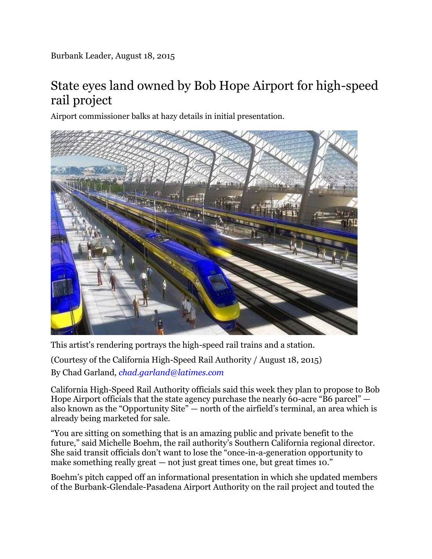## State eyes land owned by Bob Hope Airport for high-speed rail project

Airport commissioner balks at hazy details in initial presentation.



This artist's rendering portrays the high-speed rail trains and a station.

(Courtesy of the California High-Speed Rail Authority / August 18, 2015) By Chad Garland, *[chad.garland@latimes.com](mailto:chad.garland@latimes.com)*

California High-Speed Rail Authority officials said this week they plan to propose to Bob Hope Airport officials that the state agency purchase the nearly 60-acre "B6 parcel"  $$ also known as the "Opportunity Site" — north of the airfield's terminal, an area which is already being marketed for sale.

"You are sitting on something that is an amazing public and private benefit to the future," said Michelle Boehm, the rail authority's Southern California regional director. She said transit officials don't want to lose the "once-in-a-generation opportunity to make something really great  $-$  not just great times one, but great times 10."

Boehm's pitch capped off an informational presentation in which she updated members of the Burbank-Glendale-Pasadena Airport Authority on the rail project and touted the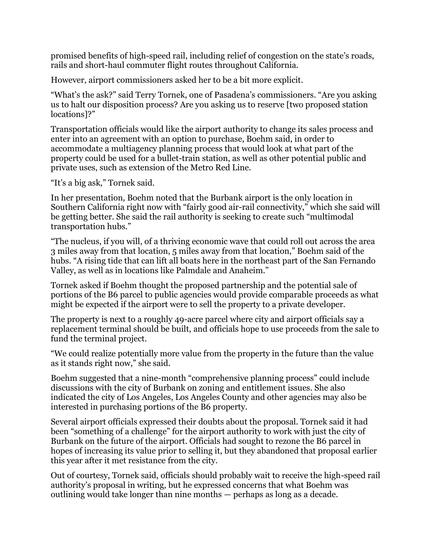promised benefits of high-speed rail, including relief of congestion on the state's roads, rails and short-haul commuter flight routes throughout California.

However, airport commissioners asked her to be a bit more explicit.

"What's the ask?" said Terry Tornek, one of Pasadena's commissioners. "Are you asking us to halt our disposition process? Are you asking us to reserve [two proposed station locations<sup>1?"</sup>

Transportation officials would like the airport authority to change its sales process and enter into an agreement with an option to purchase, Boehm said, in order to accommodate a multiagency planning process that would look at what part of the property could be used for a bullet-train station, as well as other potential public and private uses, such as extension of the Metro Red Line.

"It's a big ask," Tornek said.

In her presentation, Boehm noted that the Burbank airport is the only location in Southern California right now with "fairly good air-rail connectivity," which she said will be getting better. She said the rail authority is seeking to create such "multimodal" transportation hubs."

"The nucleus, if you will, of a thriving economic wave that could roll out across the area 3 miles away from that location, 5 miles away from that location," Boehm said of the hubs. "A rising tide that can lift all boats here in the northeast part of the San Fernando Valley, as well as in locations like Palmdale and Anaheim."

Tornek asked if Boehm thought the proposed partnership and the potential sale of portions of the B6 parcel to public agencies would provide comparable proceeds as what might be expected if the airport were to sell the property to a private developer.

The property is next to a roughly 49-acre parcel where city and airport officials say a replacement terminal should be built, and officials hope to use proceeds from the sale to fund the terminal project.

"We could realize potentially more value from the property in the future than the value as it stands right now," she said.

Boehm suggested that a nine-month "comprehensive planning process" could include discussions with the city of Burbank on zoning and entitlement issues. She also indicated the city of Los Angeles, Los Angeles County and other agencies may also be interested in purchasing portions of the B6 property.

Several airport officials expressed their doubts about the proposal. Tornek said it had been "something of a challenge" for the airport authority to work with just the city of Burbank on the future of the airport. Officials had sought to rezone the B6 parcel in hopes of increasing its value prior to selling it, but they abandoned that proposal earlier this year after it met resistance from the city.

Out of courtesy, Tornek said, officials should probably wait to receive the high-speed rail authority's proposal in writing, but he expressed concerns that what Boehm was outlining would take longer than nine months  $-$  perhaps as long as a decade.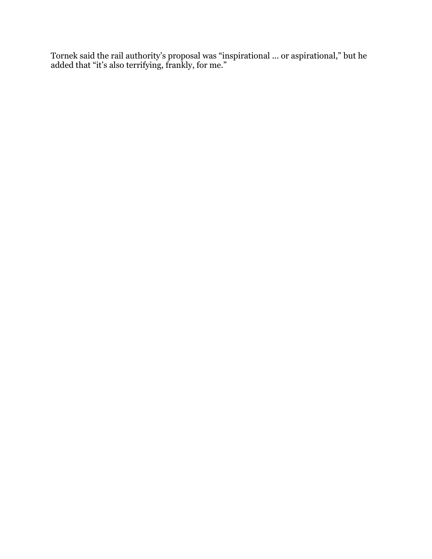Tornek said the rail authority's proposal was "inspirational ... or aspirational," but he added that "it's also terrifying, frankly, for me."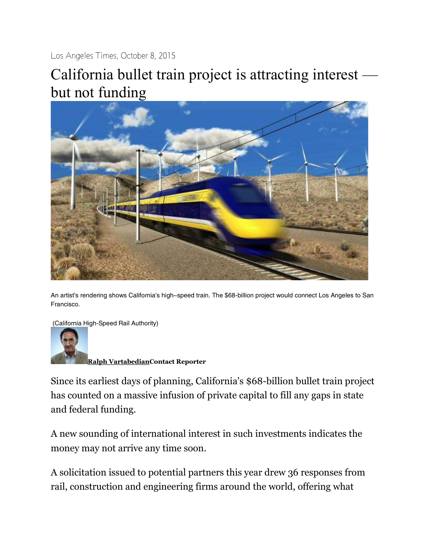Los Angeles Times, October 8, 2015

# California bullet train project is attracting interest but not funding



An artist's rendering shows California's high-speed train. The \$68-billion project would connect Los Angeles to San Francisco.

(California High-Speed Rail Authority)



**[Ralph VartabedianContact Reporter](http://www.latimes.com/la-bio-ralph-vartabedian-staff.html#navtype=byline)**

Since its earliest days of planning, California's \$68-billion bullet train project has counted on a massive infusion of private capital to fill any gaps in state and federal funding.

A new sounding of international interest in such investments indicates the money may not arrive any time soon.

A solicitation issued to potential partners this year drew 36 responses from rail, construction and engineering firms around the world, offering what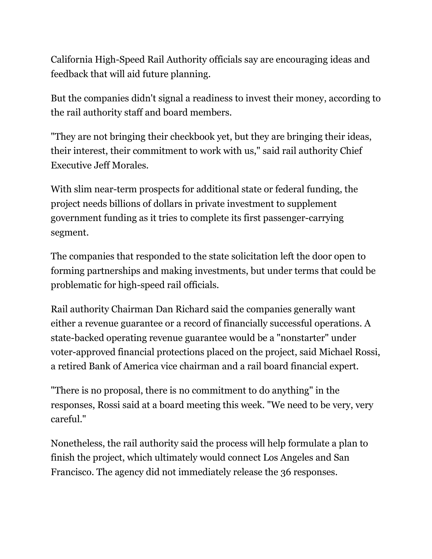California High-Speed Rail Authority officials say are encouraging ideas and feedback that will aid future planning.

But the companies didn't signal a readiness to invest their money, according to the rail authority staff and board members.

"They are not bringing their checkbook yet, but they are bringing their ideas, their interest, their commitment to work with us," said rail authority Chief Executive Jeff Morales.

With slim near-term prospects for additional state or federal funding, the project needs billions of dollars in private investment to supplement government funding as it tries to complete its first passenger-carrying segment.

The companies that responded to the state solicitation left the door open to forming partnerships and making investments, but under terms that could be problematic for high-speed rail officials.

Rail authority Chairman Dan Richard said the companies generally want either a revenue guarantee or a record of financially successful operations. A state-backed operating revenue guarantee would be a "nonstarter" under voter-approved financial protections placed on the project, said Michael Rossi, a retired Bank of America vice chairman and a rail board financial expert.

"There is no proposal, there is no commitment to do anything" in the responses, Rossi said at a board meeting this week. "We need to be very, very careful."

Nonetheless, the rail authority said the process will help formulate a plan to finish the project, which ultimately would connect Los Angeles and San Francisco. The agency did not immediately release the 36 responses.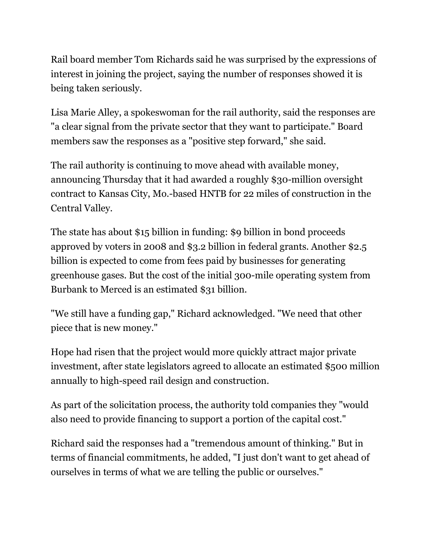Rail board member Tom Richards said he was surprised by the expressions of interest in joining the project, saying the number of responses showed it is being taken seriously.

Lisa Marie Alley, a spokeswoman for the rail authority, said the responses are "a clear signal from the private sector that they want to participate." Board members saw the responses as a "positive step forward," she said.

The rail authority is continuing to move ahead with available money, announcing Thursday that it had awarded a roughly \$30-million oversight contract to Kansas City, Mo.-based HNTB for 22 miles of construction in the Central Valley.

The state has about \$15 billion in funding: \$9 billion in bond proceeds approved by voters in 2008 and \$3.2 billion in federal grants. Another \$2.5 billion is expected to come from fees paid by businesses for generating greenhouse gases. But the cost of the initial 300-mile operating system from Burbank to Merced is an estimated \$31 billion.

"We still have a funding gap," Richard acknowledged. "We need that other piece that is new money."

Hope had risen that the project would more quickly attract major private investment, after state legislators agreed to allocate an estimated \$500 million annually to high-speed rail design and construction.

As part of the solicitation process, the authority told companies they "would also need to provide financing to support a portion of the capital cost."

Richard said the responses had a "tremendous amount of thinking." But in terms of financial commitments, he added, "I just don't want to get ahead of ourselves in terms of what we are telling the public or ourselves."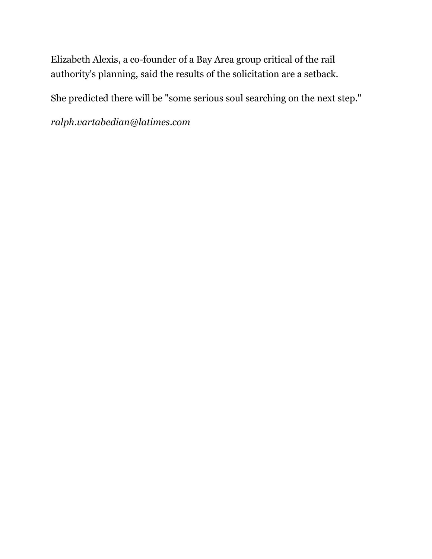Elizabeth Alexis, a co-founder of a Bay Area group critical of the rail authority's planning, said the results of the solicitation are a setback.

She predicted there will be "some serious soul searching on the next step."

*[ralph.vartabedian@latimes.com](mailto:ralph.vartabedian@latimes.com)*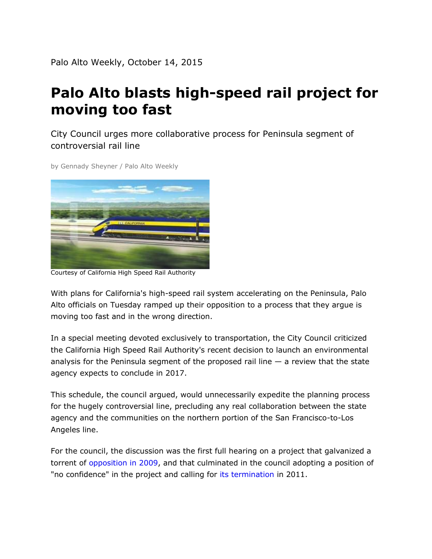## Palo Alto blasts high-speed rail project for moving too fast

City Council urges more collaborative process for Peninsula segment of controversial rail line

by [Gennady Sheyner /](http://www.paloaltoonline.com/about/contact/mailto.php?e=gsheyner) Palo Alto Weekly



Courtesy of California High Speed Rail Authority

With plans for California's high-speed rail system accelerating on the Peninsula, Palo Alto officials on Tuesday ramped up their opposition to a process that they argue is moving too fast and in the wrong direction.

In a special meeting devoted exclusively to transportation, the City Council criticized the California High Speed Rail Authority's recent decision to launch an environmental analysis for the Peninsula segment of the proposed rail line  $-$  a review that the state agency expects to conclude in 2017.

This schedule, the council argued, would unnecessarily expedite the planning process for the hugely controversial line, precluding any real collaboration between the state agency and the communities on the northern portion of the San Francisco-to-Los Angeles line.

For the council, the discussion was the first full hearing on a project that galvanized a torrent of [opposition in 2009,](http://www.paloaltoonline.com/news/2009/01/22/high-speed-rail-worries-peninsula-residents-) and that culminated in the council adopting a position of "no confidence" in the project and calling for [its termination](http://www.paloaltoonline.com/print/story/2011/12/23/palo-alto-calls-for-termination-of-high-speed-rail) in 2011.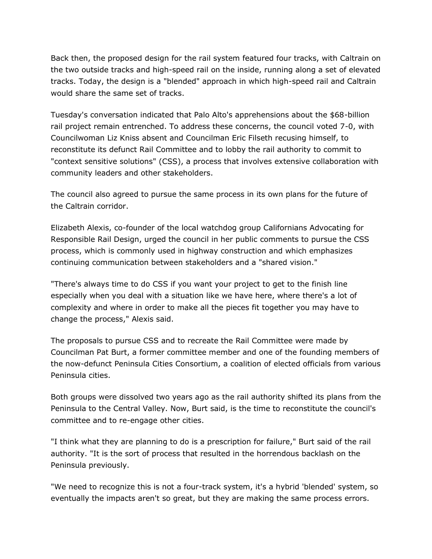Back then, the proposed design for the rail system featured four tracks, with Caltrain on the two outside tracks and high-speed rail on the inside, running along a set of elevated tracks. Today, the design is a "blended" approach in which high-speed rail and Caltrain would share the same set of tracks.

Tuesday's conversation indicated that Palo Alto's apprehensions about the \$68-billion rail project remain entrenched. To address these concerns, the council voted 7-0, with Councilwoman Liz Kniss absent and Councilman Eric Filseth recusing himself, to reconstitute its defunct Rail Committee and to lobby the rail authority to commit to "context sensitive solutions" (CSS), a process that involves extensive collaboration with community leaders and other stakeholders.

The council also agreed to pursue the same process in its own plans for the future of the Caltrain corridor.

Elizabeth Alexis, co-founder of the local watchdog group Californians Advocating for Responsible Rail Design, urged the council in her public comments to pursue the CSS process, which is commonly used in highway construction and which emphasizes continuing communication between stakeholders and a "shared vision."

"There's always time to do CSS if you want your project to get to the finish line especially when you deal with a situation like we have here, where there's a lot of complexity and where in order to make all the pieces fit together you may have to change the process," Alexis said.

The proposals to pursue CSS and to recreate the Rail Committee were made by Councilman Pat Burt, a former committee member and one of the founding members of the now-defunct Peninsula Cities Consortium, a coalition of elected officials from various Peninsula cities.

Both groups were dissolved two years ago as the rail authority shifted its plans from the Peninsula to the Central Valley. Now, Burt said, is the time to reconstitute the council's committee and to re-engage other cities.

"I think what they are planning to do is a prescription for failure," Burt said of the rail authority. "It is the sort of process that resulted in the horrendous backlash on the Peninsula previously.

"We need to recognize this is not a four-track system, it's a hybrid 'blended' system, so eventually the impacts aren't so great, but they are making the same process errors.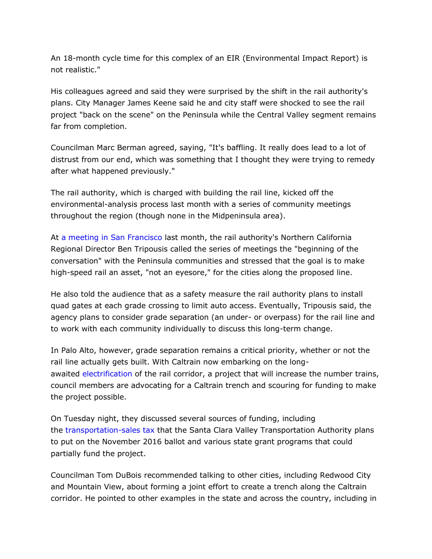An 18-month cycle time for this complex of an EIR (Environmental Impact Report) is not realistic."

His colleagues agreed and said they were surprised by the shift in the rail authority's plans. City Manager James Keene said he and city staff were shocked to see the rail project "back on the scene" on the Peninsula while the Central Valley segment remains far from completion.

Councilman Marc Berman agreed, saying, "It's baffling. It really does lead to a lot of distrust from our end, which was something that I thought they were trying to remedy after what happened previously."

The rail authority, which is charged with building the rail line, kicked off the environmental-analysis process last month with a series of community meetings throughout the region (though none in the Midpeninsula area).

At [a meeting in San Francisco](http://www.paloaltoonline.com/news/2015/09/09/high-speed-rail-brings-its-focus-back-to-the-bay-area) last month, the rail authority's Northern California Regional Director Ben Tripousis called the series of meetings the "beginning of the conversation" with the Peninsula communities and stressed that the goal is to make high-speed rail an asset, "not an eyesore," for the cities along the proposed line.

He also told the audience that as a safety measure the rail authority plans to install quad gates at each grade crossing to limit auto access. Eventually, Tripousis said, the agency plans to consider grade separation (an under- or overpass) for the rail line and to work with each community individually to discuss this long-term change.

In Palo Alto, however, grade separation remains a critical priority, whether or not the rail line actually gets built. With Caltrain now embarking on the longawaited [electrification](http://www.paloaltoonline.com/news/2015/01/08/caltrain-vote-paves-the-way-for-electric-trains) of the rail corridor, a project that will increase the number trains, council members are advocating for a Caltrain trench and scouring for funding to make the project possible.

On Tuesday night, they discussed several sources of funding, including the [transportation-sales tax](http://www.paloaltoonline.com/media/reports/1439304014.pdf) that the Santa Clara Valley Transportation Authority plans to put on the November 2016 ballot and various state grant programs that could partially fund the project.

Councilman Tom DuBois recommended talking to other cities, including Redwood City and Mountain View, about forming a joint effort to create a trench along the Caltrain corridor. He pointed to other examples in the state and across the country, including in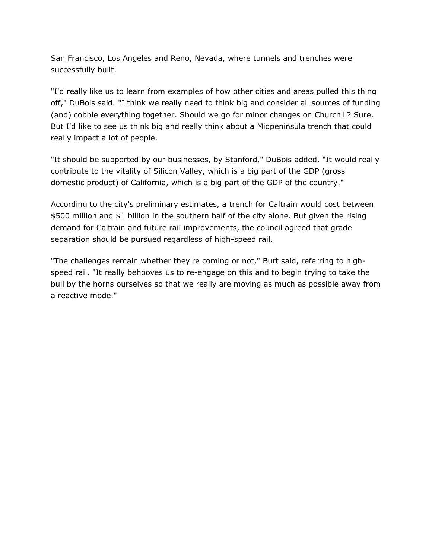San Francisco, Los Angeles and Reno, Nevada, where tunnels and trenches were successfully built.

"I'd really like us to learn from examples of how other cities and areas pulled this thing off," DuBois said. "I think we really need to think big and consider all sources of funding (and) cobble everything together. Should we go for minor changes on Churchill? Sure. But I'd like to see us think big and really think about a Midpeninsula trench that could really impact a lot of people.

"It should be supported by our businesses, by Stanford," DuBois added. "It would really contribute to the vitality of Silicon Valley, which is a big part of the GDP (gross domestic product) of California, which is a big part of the GDP of the country."

According to the city's preliminary estimates, a trench for Caltrain would cost between \$500 million and \$1 billion in the southern half of the city alone. But given the rising demand for Caltrain and future rail improvements, the council agreed that grade separation should be pursued regardless of high-speed rail.

"The challenges remain whether they're coming or not," Burt said, referring to highspeed rail. "It really behooves us to re-engage on this and to begin trying to take the bull by the horns ourselves so that we really are moving as much as possible away from a reactive mode."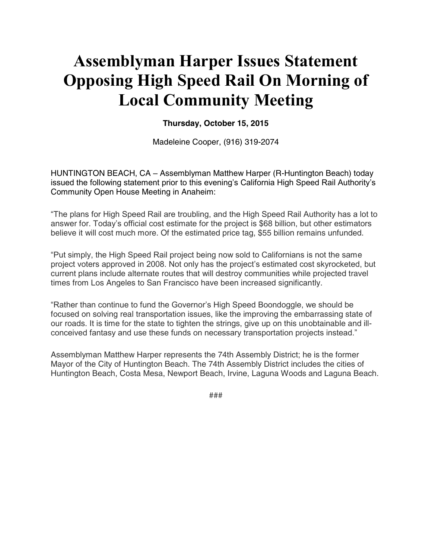# **Assemblyman Harper Issues Statement Opposing High Speed Rail On Morning of Local Community Meeting**

#### **Thursday, October 15, 2015**

Madeleine Cooper, (916) 319-2074

HUNTINGTON BEACH, CA - Assemblyman Matthew Harper (R-Huntington Beach) today issued the following statement prior to this evening's California High Speed Rail Authority's Community Open House Meeting in Anaheim:

"The plans for High Speed Rail are troubling, and the High Speed Rail Authority has a lot to answer for. Today's official cost estimate for the project is \$68 billion, but other estimators believe it will cost much more. Of the estimated price tag, \$55 billion remains unfunded.

"Put simply, the High Speed Rail project being now sold to Californians is not the same project voters approved in 2008. Not only has the project's estimated cost skyrocketed, but current plans include alternate routes that will destroy communities while projected travel times from Los Angeles to San Francisco have been increased significantly.

"Rather than continue to fund the Governor's High Speed Boondoggle, we should be focused on solving real transportation issues, like the improving the embarrassing state of our roads. It is time for the state to tighten the strings, give up on this unobtainable and illconceived fantasy and use these funds on necessary transportation projects instead."

Assemblyman Matthew Harper represents the 74th Assembly District; he is the former Mayor of the City of Huntington Beach. The 74th Assembly District includes the cities of Huntington Beach, Costa Mesa, Newport Beach, Irvine, Laguna Woods and Laguna Beach.

###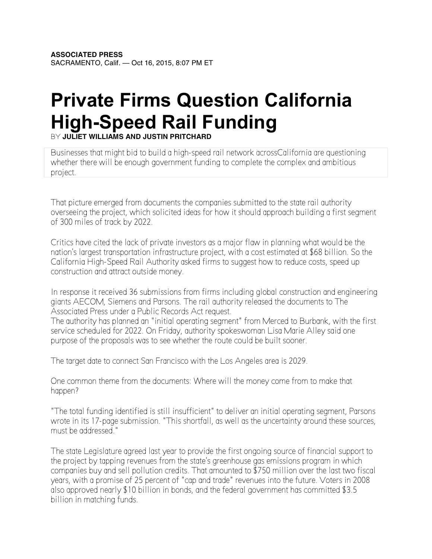# **Private Firms Question California High-Speed Rail Funding**

BY **JULIET WILLIAMS AND JUSTIN PRITCHARD**

Businesses that might bid to build a high-speed rail network acros[sCalifornia](http://abcnews.go.com/topics/news/california.htm) are questioning whether there will be enough government funding to complete the complex and ambitious project.

That picture emerged from documents the companies submitted to the state rail authority overseeing the project, which solicited ideas for how it should approach building a first segment of 300 miles of track by 2022.

Critics have cited the lack of private investors as a major flaw in planning what would be the nation's largest transportation infrastructure project, with a cost estimated at \$68 billion. So the California High-Speed Rail Authority asked firms to suggest how to reduce costs, speed up construction and attract outside money.

In response it received 36 submissions from firms including global construction and engineering giants AECOM, [Siemens](http://abcnews.go.com/topics/business/technology/siemens.htm) and Parsons. The rail authority released the documents to The Associated Press under a Public Records Act request.

The authority has planned an "initial operating segment" from Merced to Burbank, with the first service scheduled for 2022. On Friday, authority spokeswoman Lisa Marie Alley said one purpose of the proposals was to see whether the route could be built sooner.

The target date to connect San Francisco with the Los Angeles area is 2029.

One common theme from the documents: Where will the money come from to make that happen?

"The total funding identified is still insufficient" to deliver an initial operating segment, Parsons wrote in its 17-page submission. "This shortfall, as well as the uncertainty around these sources, must be addressed."

The state Legislature agreed last year to provide the first ongoing source of financial support to the project by tapping revenues from the state's greenhouse gas emissions program in which companies buy and sell pollution credits. That amounted to \$750 million over the last two fiscal years, with a promise of 25 percent of "cap and trade" revenues into the future. Voters in 2008 also approved nearly \$10 billion in bonds, and the federal government has committed \$3.5 billion in matching funds.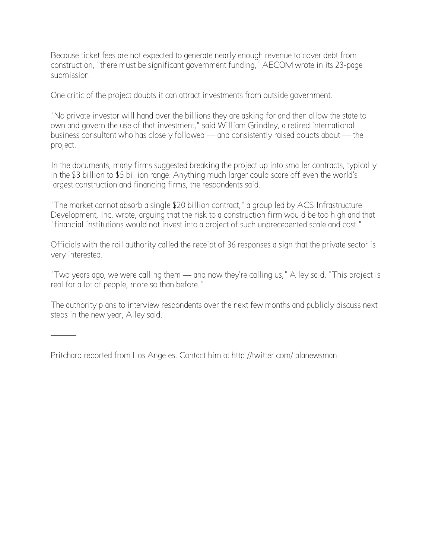Because ticket fees are not expected to generate nearly enough revenue to cover debt from construction, "there must be significant government funding," AECOM wrote in its 23-page submission.

One critic of the project doubts it can attract investments from outside government.

"No private investor will hand over the billions they are asking for and then allow the state to own and govern the use of that investment," said William Grindley, a retired international business consultant who has closely followed — and consistently raised doubts about — the project.

In the documents, many firms suggested breaking the project up into smaller contracts, typically in the \$3 billion to \$5 billion range. Anything much larger could scare off even the world's largest construction and financing firms, the respondents said.

"The market cannot absorb a single \$20 billion contract," a group led by ACS Infrastructure Development, Inc. wrote, arguing that the risk to a construction firm would be too high and that "financial institutions would not invest into a project of such unprecedented scale and cost."

Officials with the rail authority called the receipt of 36 responses a sign that the private sector is very interested.

"Two years ago, we were calling them — and now they're calling us," Alley said. "This project is real for a lot of people, more so than before."

The authority plans to interview respondents over the next few months and publicly discuss next steps in the new year, Alley said.

Pritchard reported from Los Angeles. Contact him at http:/[/twitter.](http://abcnews.go.com/topics/business/technology/twitter.htm)com/lalanewsman.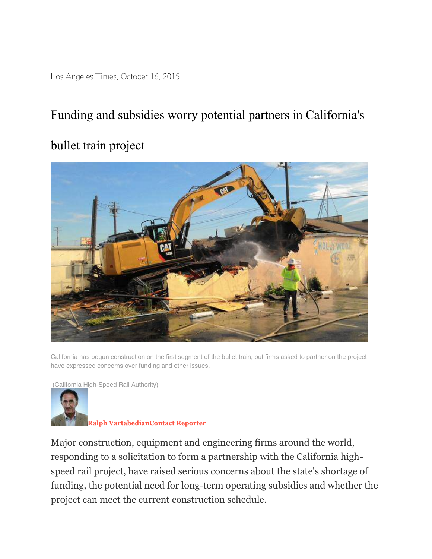Los Angeles Times, October 16, 2015

## Funding and subsidies worry potential partners in California's

### bullet train project



California has begun construction on the first segment of the bullet train, but firms asked to partner on the project have expressed concerns over funding and other issues.

(California High-Speed Rail Authority)



**[Ralph VartabedianContact Reporter](http://www.latimes.com/la-bio-ralph-vartabedian-staff.html#navtype=byline)**

Major construction, equipment and engineering firms around the world, responding to a solicitation to form a partnership with the California highspeed rail project, have raised serious concerns about the state's shortage of funding, the potential need for long-term operating subsidies and whether the project can meet the current construction schedule.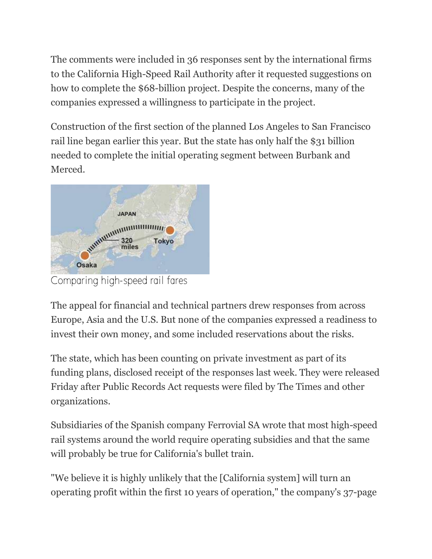The comments were included in 36 responses sent by the international firms to the California High-Speed Rail Authority after it requested suggestions on how to complete the \$68-billion project. Despite the concerns, many of the companies expressed a willingness to participate in the project.

Construction of the first section of the planned Los Angeles to San Francisco rail line began earlier this year. But the state has only half the \$31 billion needed to complete the initial operating segment between Burbank and Merced.



[Comparing high-speed rail fares](http://www.latimes.com/visuals/graphics/la-me-g-bullet-fares-20150508-htmlstory.html)

The appeal for financial and technical partners drew responses from across Europe, Asia and the U.S. But none of the companies expressed a readiness to invest their own money, and some included reservations about the risks.

The state, which has been counting on private investment as part of its funding plans, disclosed receipt of the responses last week. They were released Friday after Public Records Act requests were filed by The Times and other organizations.

Subsidiaries of the Spanish company Ferrovial SA wrote that most high-speed rail systems around the world require operating subsidies and that the same will probably be true for California's bullet train.

"We believe it is highly unlikely that the [California system] will turn an operating profit within the first 10 years of operation," the company's 37-page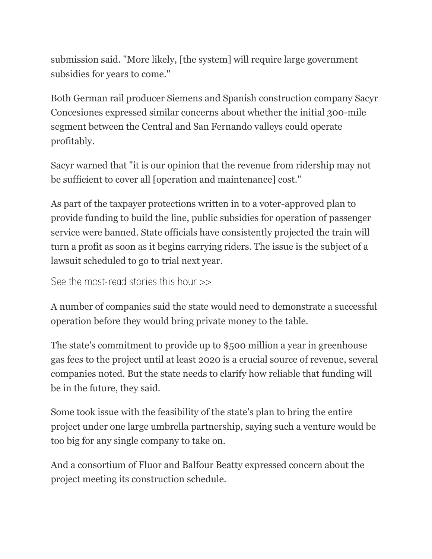submission said. "More likely, [the system] will require large government subsidies for years to come."

Both German rail producer Siemens and Spanish construction company Sacyr Concesiones expressed similar concerns about whether the initial 300-mile segment between the Central and San Fernando valleys could operate profitably.

Sacyr warned that "it is our opinion that the revenue from ridership may not be sufficient to cover all [operation and maintenance] cost."

As part of the taxpayer protections written in to a voter-approved plan to provide funding to build the line, public subsidies for operation of passenger service were banned. State officials have consistently projected the train will turn a profit as soon as it begins carrying riders. The issue is the subject of a lawsuit scheduled to go to trial next year.

[See the most-read stories this hour >>](http://www.latimes.com/local/la-most-read-stories-this-hour-story.html)

A number of companies said the state would need to demonstrate a successful operation before they would bring private money to the table.

The state's commitment to provide up to \$500 million a year in greenhouse gas fees to the project until at least 2020 is a crucial source of revenue, several companies noted. But the state needs to clarify how reliable that funding will be in the future, they said.

Some took issue with the feasibility of the state's plan to bring the entire project under one large umbrella partnership, saying such a venture would be too big for any single company to take on.

And a consortium of Fluor and Balfour Beatty expressed concern about the project meeting its construction schedule.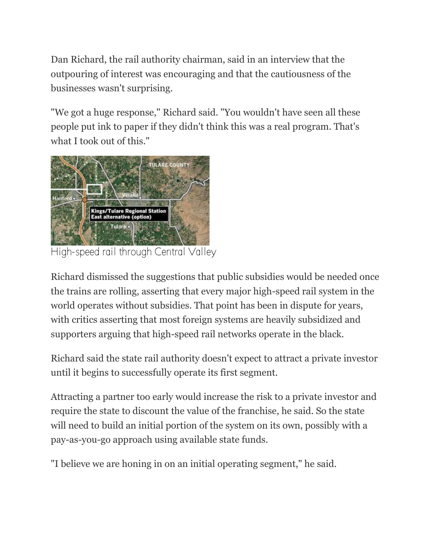Dan Richard, the rail authority chairman, said in an interview that the outpouring of interest was encouraging and that the cautiousness of the businesses wasn't surprising.

"We got a huge response," Richard said. "You wouldn't have seen all these people put ink to paper if they didn't think this was a real program. That's what I took out of this."



[High-speed rail through Central Valley](http://www.latimes.com/visuals/graphics/la-me-g-highspeed-rail-route-20150126-htmlstory.html)

Richard dismissed the suggestions that public subsidies would be needed once the trains are rolling, asserting that every major high-speed rail system in the world operates without subsidies. That point has been in dispute for years, with critics asserting that most foreign systems are heavily subsidized and supporters arguing that high-speed rail networks operate in the black.

Richard said the state rail authority doesn't expect to attract a private investor until it begins to successfully operate its first segment.

Attracting a partner too early would increase the risk to a private investor and require the state to discount the value of the franchise, he said. So the state will need to build an initial portion of the system on its own, possibly with a pay-as-you-go approach using available state funds.

"I believe we are honing in on an initial operating segment," he said.